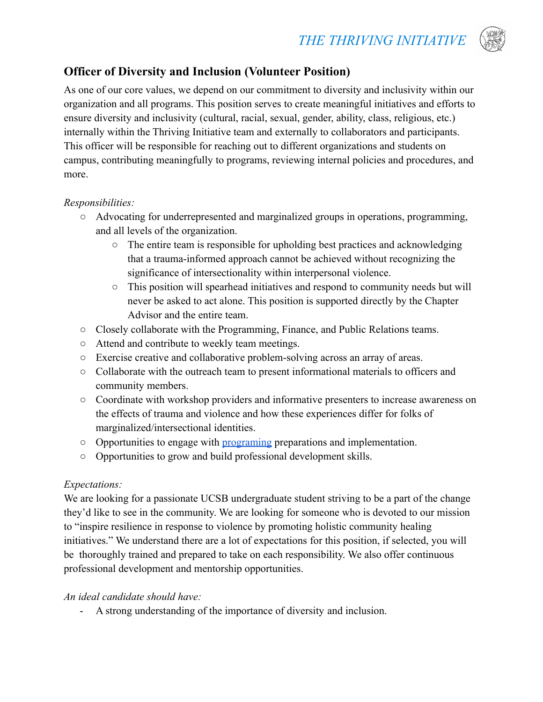# **Officer of Diversity and Inclusion (Volunteer Position)**

As one of our core values, we depend on our commitment to diversity and inclusivity within our organization and all programs. This position serves to create meaningful initiatives and efforts to ensure diversity and inclusivity (cultural, racial, sexual, gender, ability, class, religious, etc.) internally within the Thriving Initiative team and externally to collaborators and participants. This officer will be responsible for reaching out to different organizations and students on campus, contributing meaningfully to programs, reviewing internal policies and procedures, and more.

#### *Responsibilities:*

- **○** Advocating for underrepresented and marginalized groups in operations, programming, and all levels of the organization.
	- **○** The entire team is responsible for upholding best practices and acknowledging that a trauma-informed approach cannot be achieved without recognizing the significance of intersectionality within interpersonal violence.
	- **○** This position will spearhead initiatives and respond to community needs but will never be asked to act alone. This position is supported directly by the Chapter Advisor and the entire team.
- **○** Closely collaborate with the Programming, Finance, and Public Relations teams.
- Attend and contribute to weekly team meetings.
- Exercise creative and collaborative problem-solving across an array of areas.
- Collaborate with the outreach team to present informational materials to officers and community members.
- Coordinate with workshop providers and informative presenters to increase awareness on the effects of trauma and violence and how these experiences differ for folks of marginalized/intersectional identities.
- Opportunities to engage with [programing](https://www.thethrivinginitiative.org/programs) preparations and implementation.
- Opportunities to grow and build professional development skills.

## *Expectations:*

We are looking for a passionate UCSB undergraduate student striving to be a part of the change they'd like to see in the community. We are looking for someone who is devoted to our mission to "inspire resilience in response to violence by promoting holistic community healing initiatives." We understand there are a lot of expectations for this position, if selected, you will be thoroughly trained and prepared to take on each responsibility. We also offer continuous professional development and mentorship opportunities.

## *An ideal candidate should have:*

- A strong understanding of the importance of diversity and inclusion.